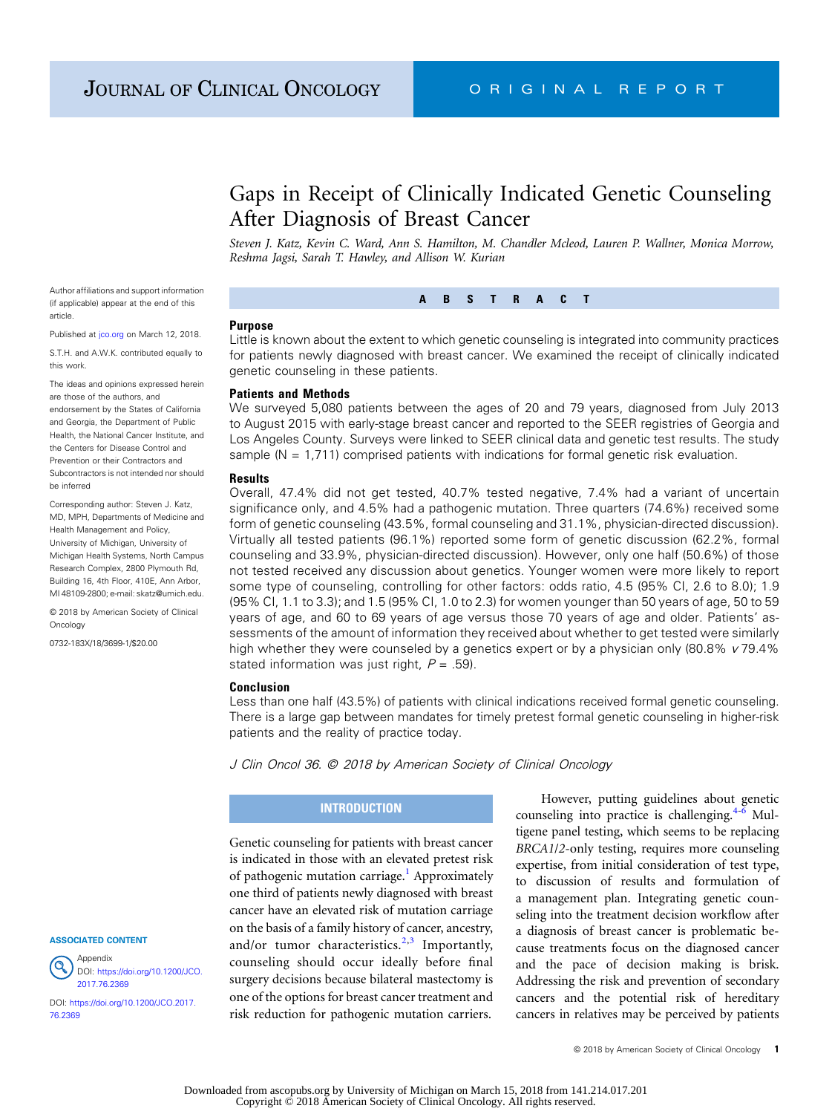# Gaps in Receipt of Clinically Indicated Genetic Counseling After Diagnosis of Breast Cancer

Steven J. Katz, Kevin C. Ward, Ann S. Hamilton, M. Chandler Mcleod, Lauren P. Wallner, Monica Morrow, Reshma Jagsi, Sarah T. Hawley, and Allison W. Kurian

Author affiliations and support information (if applicable) appear at the end of this article.

Published at [jco.org](http://jco.org) on March 12, 2018.

S.T.H. and A.W.K. contributed equally to this work.

The ideas and opinions expressed herein are those of the authors, and endorsement by the States of California and Georgia, the Department of Public Health, the National Cancer Institute, and the Centers for Disease Control and Prevention or their Contractors and Subcontractors is not intended nor should be inferred

Corresponding author: Steven J. Katz, MD, MPH, Departments of Medicine and Health Management and Policy, University of Michigan, University of Michigan Health Systems, North Campus Research Complex, 2800 Plymouth Rd, Building 16, 4th Floor, 410E, Ann Arbor, MI 48109-2800; e-mail: [skatz@umich.edu.](mailto:skatz@umich.edu)

© 2018 by American Society of Clinical **Oncology** 

0732-183X/18/3699-1/\$20.00

# ASSOCIATED CONTENT



DOI: [https://doi.org/10.1200/JCO.2017.](http://ascopubs.org/doi/full/10.1200/JCO.2017.76.2369) [76.2369](http://ascopubs.org/doi/full/10.1200/JCO.2017.76.2369)

### Purpose

Little is known about the extent to which genetic counseling is integrated into community practices for patients newly diagnosed with breast cancer. We examined the receipt of clinically indicated genetic counseling in these patients.

ABSTRACT

# Patients and Methods

We surveyed 5,080 patients between the ages of 20 and 79 years, diagnosed from July 2013 to August 2015 with early-stage breast cancer and reported to the SEER registries of Georgia and Los Angeles County. Surveys were linked to SEER clinical data and genetic test results. The study sample  $(N = 1,711)$  comprised patients with indications for formal genetic risk evaluation.

#### Results

Overall, 47.4% did not get tested, 40.7% tested negative, 7.4% had a variant of uncertain significance only, and 4.5% had a pathogenic mutation. Three quarters (74.6%) received some form of genetic counseling (43.5%, formal counseling and 31.1%, physician-directed discussion). Virtually all tested patients (96.1%) reported some form of genetic discussion (62.2%, formal counseling and 33.9%, physician-directed discussion). However, only one half (50.6%) of those not tested received any discussion about genetics. Younger women were more likely to report some type of counseling, controlling for other factors: odds ratio, 4.5 (95% CI, 2.6 to 8.0); 1.9 (95% CI, 1.1 to 3.3); and 1.5 (95% CI, 1.0 to 2.3) for women younger than 50 years of age, 50 to 59 years of age, and 60 to 69 years of age versus those 70 years of age and older. Patients' assessments of the amount of information they received about whether to get tested were similarly high whether they were counseled by a genetics expert or by a physician only  $(80.8\% \text{ v } 79.4\%)$ stated information was just right,  $P = .59$ ).

### Conclusion

Less than one half (43.5%) of patients with clinical indications received formal genetic counseling. There is a large gap between mandates for timely pretest formal genetic counseling in higher-risk patients and the reality of practice today.

J Clin Oncol 36. © 2018 by American Society of Clinical Oncology

# **INTRODUCTION**

Genetic counseling for patients with breast cancer is indicated in those with an elevated pretest risk of pathogenic mutation carriage.<sup>[1](#page-5-0)</sup> Approximately one third of patients newly diagnosed with breast cancer have an elevated risk of mutation carriage on the basis of a family history of cancer, ancestry, and/or tumor characteristics.<sup>[2](#page-5-0),[3](#page-5-0)</sup> Importantly, counseling should occur ideally before final surgery decisions because bilateral mastectomy is one of the options for breast cancer treatment and risk reduction for pathogenic mutation carriers.

However, putting guidelines about genetic counseling into practice is challenging. $4-6$  Multigene panel testing, which seems to be replacing BRCA1/2-only testing, requires more counseling expertise, from initial consideration of test type, to discussion of results and formulation of a management plan. Integrating genetic counseling into the treatment decision workflow after a diagnosis of breast cancer is problematic because treatments focus on the diagnosed cancer and the pace of decision making is brisk. Addressing the risk and prevention of secondary cancers and the potential risk of hereditary cancers in relatives may be perceived by patients

© 2018 by American Society of Clinical Oncology 1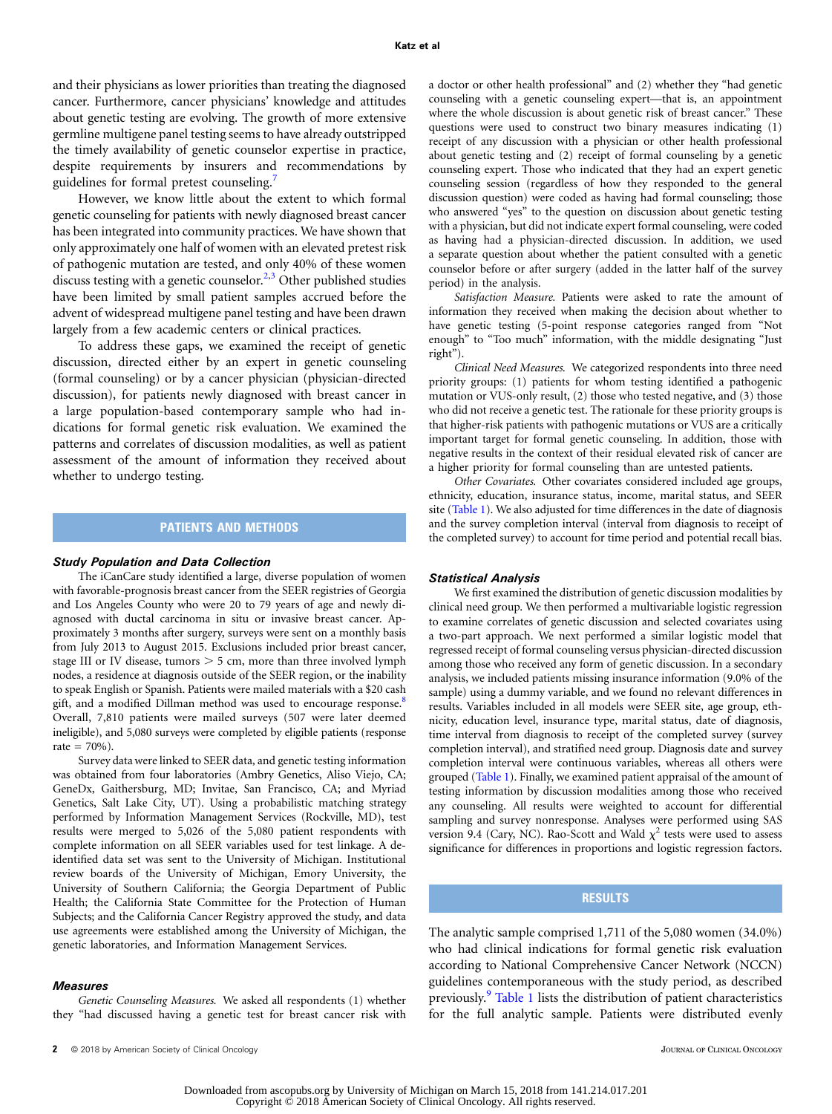and their physicians as lower priorities than treating the diagnosed cancer. Furthermore, cancer physicians' knowledge and attitudes about genetic testing are evolving. The growth of more extensive germline multigene panel testing seems to have already outstripped the timely availability of genetic counselor expertise in practice, despite requirements by insurers and recommendations by guidelines for formal pretest counseling.

However, we know little about the extent to which formal genetic counseling for patients with newly diagnosed breast cancer has been integrated into community practices. We have shown that only approximately one half of women with an elevated pretest risk of pathogenic mutation are tested, and only 40% of these women discuss testing with a genetic counselor.<sup>[2,3](#page-5-0)</sup> Other published studies have been limited by small patient samples accrued before the advent of widespread multigene panel testing and have been drawn largely from a few academic centers or clinical practices.

To address these gaps, we examined the receipt of genetic discussion, directed either by an expert in genetic counseling (formal counseling) or by a cancer physician (physician-directed discussion), for patients newly diagnosed with breast cancer in a large population-based contemporary sample who had indications for formal genetic risk evaluation. We examined the patterns and correlates of discussion modalities, as well as patient assessment of the amount of information they received about whether to undergo testing.

# PATIENTS AND METHODS

#### Study Population and Data Collection

The iCanCare study identified a large, diverse population of women with favorable-prognosis breast cancer from the SEER registries of Georgia and Los Angeles County who were 20 to 79 years of age and newly diagnosed with ductal carcinoma in situ or invasive breast cancer. Approximately 3 months after surgery, surveys were sent on a monthly basis from July 2013 to August 2015. Exclusions included prior breast cancer, stage III or IV disease, tumors  $> 5$  cm, more than three involved lymph nodes, a residence at diagnosis outside of the SEER region, or the inability to speak English or Spanish. Patients were mailed materials with a \$20 cash gift, and a modified Dillman method was used to encourage response.<sup>[8](#page-5-0)</sup> Overall, 7,810 patients were mailed surveys (507 were later deemed ineligible), and 5,080 surveys were completed by eligible patients (response rate =  $70%$ ).

Survey data were linked to SEER data, and genetic testing information was obtained from four laboratories (Ambry Genetics, Aliso Viejo, CA; GeneDx, Gaithersburg, MD; Invitae, San Francisco, CA; and Myriad Genetics, Salt Lake City, UT). Using a probabilistic matching strategy performed by Information Management Services (Rockville, MD), test results were merged to 5,026 of the 5,080 patient respondents with complete information on all SEER variables used for test linkage. A deidentified data set was sent to the University of Michigan. Institutional review boards of the University of Michigan, Emory University, the University of Southern California; the Georgia Department of Public Health; the California State Committee for the Protection of Human Subjects; and the California Cancer Registry approved the study, and data use agreements were established among the University of Michigan, the genetic laboratories, and Information Management Services.

#### Measures

Genetic Counseling Measures. We asked all respondents (1) whether they "had discussed having a genetic test for breast cancer risk with

a doctor or other health professional" and (2) whether they "had genetic counseling with a genetic counseling expert—that is, an appointment where the whole discussion is about genetic risk of breast cancer." These questions were used to construct two binary measures indicating (1) receipt of any discussion with a physician or other health professional about genetic testing and (2) receipt of formal counseling by a genetic counseling expert. Those who indicated that they had an expert genetic counseling session (regardless of how they responded to the general discussion question) were coded as having had formal counseling; those who answered "yes" to the question on discussion about genetic testing with a physician, but did not indicate expert formal counseling, were coded as having had a physician-directed discussion. In addition, we used a separate question about whether the patient consulted with a genetic counselor before or after surgery (added in the latter half of the survey period) in the analysis.

Satisfaction Measure. Patients were asked to rate the amount of information they received when making the decision about whether to have genetic testing (5-point response categories ranged from "Not enough" to "Too much" information, with the middle designating "Just right").

Clinical Need Measures. We categorized respondents into three need priority groups: (1) patients for whom testing identified a pathogenic mutation or VUS-only result, (2) those who tested negative, and (3) those who did not receive a genetic test. The rationale for these priority groups is that higher-risk patients with pathogenic mutations or VUS are a critically important target for formal genetic counseling. In addition, those with negative results in the context of their residual elevated risk of cancer are a higher priority for formal counseling than are untested patients.

Other Covariates. Other covariates considered included age groups, ethnicity, education, insurance status, income, marital status, and SEER site ([Table 1\)](#page-2-0). We also adjusted for time differences in the date of diagnosis and the survey completion interval (interval from diagnosis to receipt of the completed survey) to account for time period and potential recall bias.

### Statistical Analysis

We first examined the distribution of genetic discussion modalities by clinical need group. We then performed a multivariable logistic regression to examine correlates of genetic discussion and selected covariates using a two-part approach. We next performed a similar logistic model that regressed receipt of formal counseling versus physician-directed discussion among those who received any form of genetic discussion. In a secondary analysis, we included patients missing insurance information (9.0% of the sample) using a dummy variable, and we found no relevant differences in results. Variables included in all models were SEER site, age group, ethnicity, education level, insurance type, marital status, date of diagnosis, time interval from diagnosis to receipt of the completed survey (survey completion interval), and stratified need group. Diagnosis date and survey completion interval were continuous variables, whereas all others were grouped [\(Table 1](#page-2-0)). Finally, we examined patient appraisal of the amount of testing information by discussion modalities among those who received any counseling. All results were weighted to account for differential sampling and survey nonresponse. Analyses were performed using SAS version 9.4 (Cary, NC). Rao-Scott and Wald  $\chi^2$  tests were used to assess significance for differences in proportions and logistic regression factors.

# **RESULTS**

The analytic sample comprised 1,711 of the 5,080 women (34.0%) who had clinical indications for formal genetic risk evaluation according to National Comprehensive Cancer Network (NCCN) guidelines contemporaneous with the study period, as described previously.<sup>[9](#page-5-0)</sup> [Table 1](#page-2-0) lists the distribution of patient characteristics for the full analytic sample. Patients were distributed evenly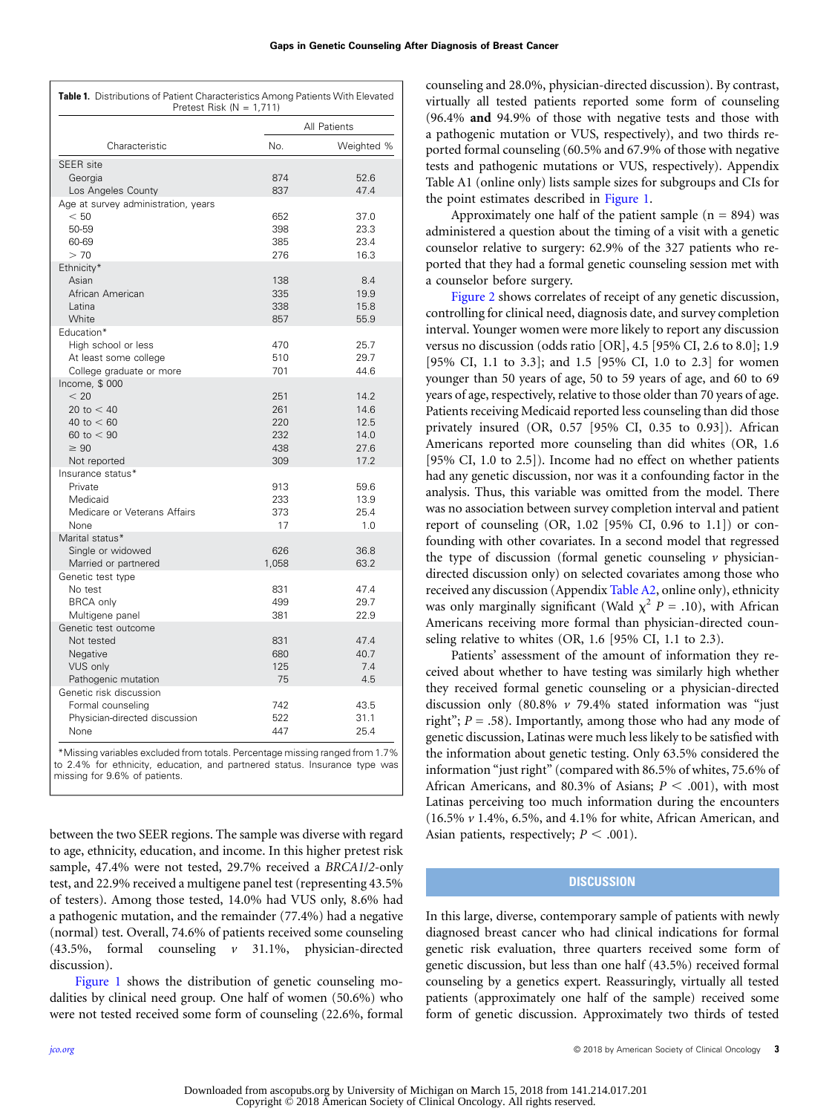<span id="page-2-0"></span>

| Table 1. Distributions of Patient Characteristics Among Patients With Elevated<br>Pretest Risk ( $N = 1,711$ ) |                                        |                                              |  |
|----------------------------------------------------------------------------------------------------------------|----------------------------------------|----------------------------------------------|--|
|                                                                                                                |                                        | All Patients                                 |  |
| Characteristic                                                                                                 | No.                                    | Weighted %                                   |  |
| <b>SEER</b> site<br>Georgia<br>Los Angeles County                                                              | 874<br>837                             | 52.6<br>47.4                                 |  |
| Age at survey administration, years<br>< 50<br>50-59<br>60-69<br>> 70                                          | 652<br>398<br>385<br>276               | 37.0<br>23.3<br>23.4<br>16.3                 |  |
| Ethnicity*<br>Asian<br>African American<br>Latina<br>White                                                     | 138<br>335<br>338<br>857               | 8.4<br>19.9<br>15.8<br>55.9                  |  |
| Education*<br>High school or less<br>At least some college<br>College graduate or more                         | 470<br>510<br>701                      | 25.7<br>29.7<br>44.6                         |  |
| Income, \$000<br>< 20<br>20 to $< 40$<br>40 to $< 60$<br>60 to $< 90$<br>$\geq 90$<br>Not reported             | 251<br>261<br>220<br>232<br>438<br>309 | 14.2<br>14.6<br>12.5<br>14.0<br>27.6<br>17.2 |  |
| Insurance status*<br>Private<br>Medicaid<br>Medicare or Veterans Affairs<br>None                               | 913<br>233<br>373<br>17                | 59.6<br>13.9<br>25.4<br>1.0                  |  |
| Marital status*<br>Single or widowed<br>Married or partnered                                                   | 626<br>1,058                           | 36.8<br>63.2                                 |  |
| Genetic test type<br>No test<br><b>BRCA only</b><br>Multigene panel                                            | 831<br>499<br>381                      | 47.4<br>29.7<br>22.9                         |  |
| Genetic test outcome<br>Not tested<br>Negative<br>VUS only<br>Pathogenic mutation                              | 831<br>680<br>125<br>75                | 47.4<br>40.7<br>7.4<br>4.5                   |  |
| Genetic risk discussion<br>Formal counseling<br>Physician-directed discussion<br>None                          | 742<br>522<br>447                      | 43.5<br>31.1<br>25.4                         |  |

\*Missing variables excluded from totals. Percentage missing ranged from 1.7% to 2.4% for ethnicity, education, and partnered status. Insurance type was missing for 9.6% of patients.

between the two SEER regions. The sample was diverse with regard to age, ethnicity, education, and income. In this higher pretest risk sample, 47.4% were not tested, 29.7% received a BRCA1/2-only test, and 22.9% received a multigene panel test (representing 43.5% of testers). Among those tested, 14.0% had VUS only, 8.6% had a pathogenic mutation, and the remainder (77.4%) had a negative (normal) test. Overall, 74.6% of patients received some counseling (43.5%, formal counseling  $v$  31.1%, physician-directed discussion).

[Figure 1](#page-3-0) shows the distribution of genetic counseling modalities by clinical need group. One half of women (50.6%) who were not tested received some form of counseling (22.6%, formal counseling and 28.0%, physician-directed discussion). By contrast, virtually all tested patients reported some form of counseling (96.4% and 94.9% of those with negative tests and those with a pathogenic mutation or VUS, respectively), and two thirds reported formal counseling (60.5% and 67.9% of those with negative tests and pathogenic mutations or VUS, respectively). Appendix Table A1 (online only) lists sample sizes for subgroups and CIs for the point estimates described in [Figure 1.](#page-3-0)

Approximately one half of the patient sample  $(n = 894)$  was administered a question about the timing of a visit with a genetic counselor relative to surgery: 62.9% of the 327 patients who reported that they had a formal genetic counseling session met with a counselor before surgery.

[Figure 2](#page-4-0) shows correlates of receipt of any genetic discussion, controlling for clinical need, diagnosis date, and survey completion interval. Younger women were more likely to report any discussion versus no discussion (odds ratio [OR], 4.5 [95% CI, 2.6 to 8.0]; 1.9 [95% CI, 1.1 to 3.3]; and 1.5 [95% CI, 1.0 to 2.3] for women younger than 50 years of age, 50 to 59 years of age, and 60 to 69 years of age, respectively, relative to those older than 70 years of age. Patients receiving Medicaid reported less counseling than did those privately insured (OR, 0.57 [95% CI, 0.35 to 0.93]). African Americans reported more counseling than did whites (OR, 1.6 [95% CI, 1.0 to 2.5]). Income had no effect on whether patients had any genetic discussion, nor was it a confounding factor in the analysis. Thus, this variable was omitted from the model. There was no association between survey completion interval and patient report of counseling (OR, 1.02 [95% CI, 0.96 to 1.1]) or confounding with other covariates. In a second model that regressed the type of discussion (formal genetic counseling  $\nu$  physiciandirected discussion only) on selected covariates among those who received any discussion (Appendix [Table A2](#page-8-0), online only), ethnicity was only marginally significant (Wald  $\chi^2$  P = .10), with African Americans receiving more formal than physician-directed counseling relative to whites (OR, 1.6 [95% CI, 1.1 to 2.3).

Patients' assessment of the amount of information they received about whether to have testing was similarly high whether they received formal genetic counseling or a physician-directed discussion only (80.8%  $\nu$  79.4% stated information was "just right";  $P = .58$ ). Importantly, among those who had any mode of genetic discussion, Latinas were much less likely to be satisfied with the information about genetic testing. Only 63.5% considered the information "just right" (compared with 86.5% of whites, 75.6% of African Americans, and 80.3% of Asians;  $P < .001$ ), with most Latinas perceiving too much information during the encounters (16.5% v 1.4%, 6.5%, and 4.1% for white, African American, and Asian patients, respectively;  $P < .001$ ).

# **DISCUSSION**

In this large, diverse, contemporary sample of patients with newly diagnosed breast cancer who had clinical indications for formal genetic risk evaluation, three quarters received some form of genetic discussion, but less than one half (43.5%) received formal counseling by a genetics expert. Reassuringly, virtually all tested patients (approximately one half of the sample) received some form of genetic discussion. Approximately two thirds of tested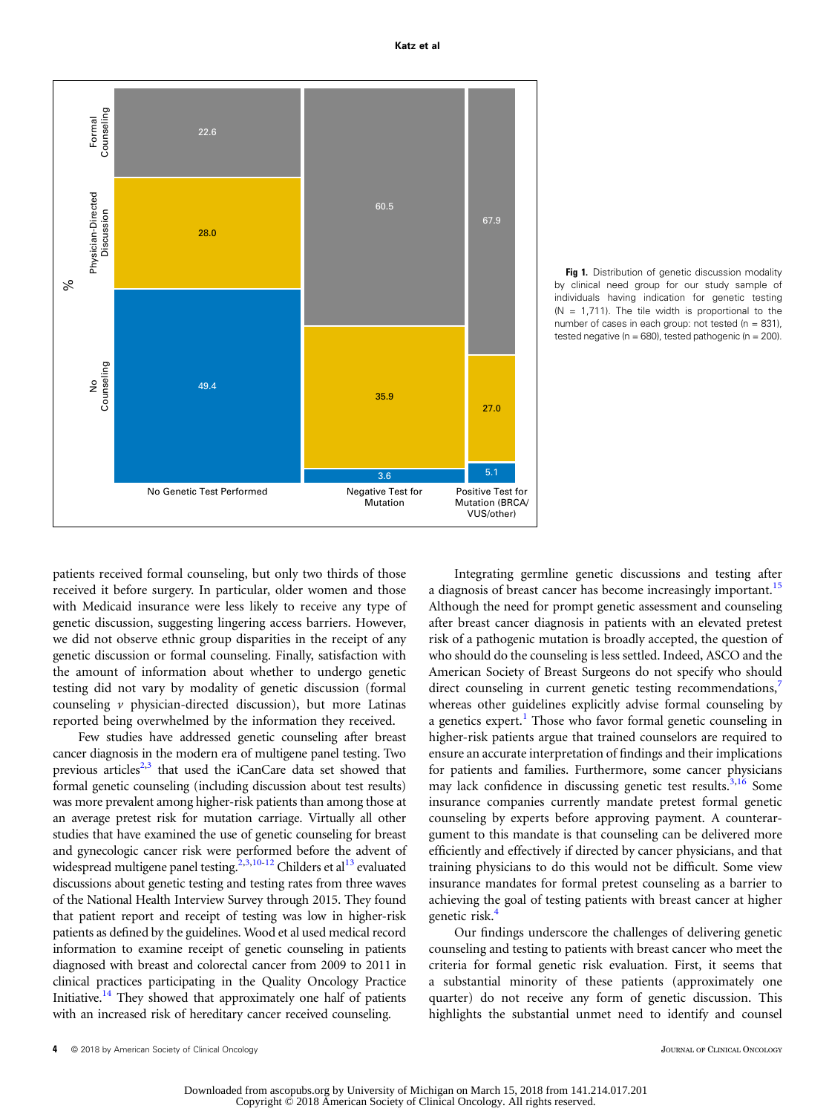<span id="page-3-0"></span>



patients received formal counseling, but only two thirds of those received it before surgery. In particular, older women and those with Medicaid insurance were less likely to receive any type of genetic discussion, suggesting lingering access barriers. However, we did not observe ethnic group disparities in the receipt of any genetic discussion or formal counseling. Finally, satisfaction with the amount of information about whether to undergo genetic testing did not vary by modality of genetic discussion (formal counseling  $\nu$  physician-directed discussion), but more Latinas reported being overwhelmed by the information they received.

Few studies have addressed genetic counseling after breast cancer diagnosis in the modern era of multigene panel testing. Two previous articles $2,3$  that used the iCanCare data set showed that formal genetic counseling (including discussion about test results) was more prevalent among higher-risk patients than among those at an average pretest risk for mutation carriage. Virtually all other studies that have examined the use of genetic counseling for breast and gynecologic cancer risk were performed before the advent of widespread multigene panel testing.<sup>2,3,10-12</sup> Childers et al<sup>13</sup> evaluated discussions about genetic testing and testing rates from three waves of the National Health Interview Survey through 2015. They found that patient report and receipt of testing was low in higher-risk patients as defined by the guidelines. Wood et al used medical record information to examine receipt of genetic counseling in patients diagnosed with breast and colorectal cancer from 2009 to 2011 in clinical practices participating in the Quality Oncology Practice Initiative.[14](#page-5-0) They showed that approximately one half of patients with an increased risk of hereditary cancer received counseling.

Integrating germline genetic discussions and testing after a diagnosis of breast cancer has become increasingly important.<sup>[15](#page-5-0)</sup> Although the need for prompt genetic assessment and counseling after breast cancer diagnosis in patients with an elevated pretest risk of a pathogenic mutation is broadly accepted, the question of who should do the counseling is less settled. Indeed, ASCO and the American Society of Breast Surgeons do not specify who should direct counseling in current genetic testing recommendations,<sup>[7](#page-5-0)</sup> whereas other guidelines explicitly advise formal counseling by a genetics expert.<sup>1</sup> Those who favor formal genetic counseling in higher-risk patients argue that trained counselors are required to ensure an accurate interpretation of findings and their implications for patients and families. Furthermore, some cancer physicians may lack confidence in discussing genetic test results.<sup>[3,16](#page-5-0)</sup> Some insurance companies currently mandate pretest formal genetic counseling by experts before approving payment. A counterargument to this mandate is that counseling can be delivered more efficiently and effectively if directed by cancer physicians, and that training physicians to do this would not be difficult. Some view insurance mandates for formal pretest counseling as a barrier to achieving the goal of testing patients with breast cancer at higher genetic risk.<sup>4</sup>

Our findings underscore the challenges of delivering genetic counseling and testing to patients with breast cancer who meet the criteria for formal genetic risk evaluation. First, it seems that a substantial minority of these patients (approximately one quarter) do not receive any form of genetic discussion. This highlights the substantial unmet need to identify and counsel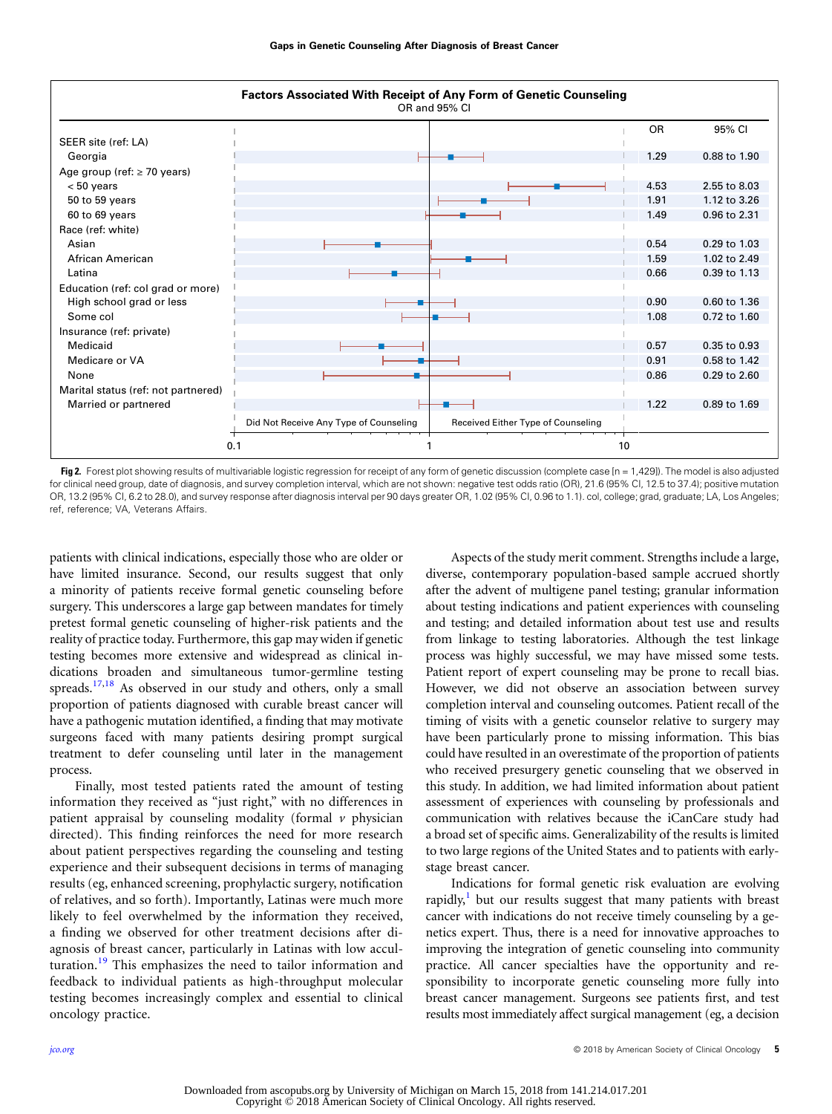<span id="page-4-0"></span>

Fig 2. Forest plot showing results of multivariable logistic regression for receipt of any form of genetic discussion (complete case [n = 1,429]). The model is also adjusted for clinical need group, date of diagnosis, and survey completion interval, which are not shown: negative test odds ratio (OR), 21.6 (95% CI, 12.5 to 37.4); positive mutation OR, 13.2 (95% CI, 6.2 to 28.0), and survey response after diagnosis interval per 90 days greater OR, 1.02 (95% CI, 0.96 to 1.1). col, college; grad, graduate; LA, Los Angeles; ref, reference; VA, Veterans Affairs.

patients with clinical indications, especially those who are older or have limited insurance. Second, our results suggest that only a minority of patients receive formal genetic counseling before surgery. This underscores a large gap between mandates for timely pretest formal genetic counseling of higher-risk patients and the reality of practice today. Furthermore, this gap may widen if genetic testing becomes more extensive and widespread as clinical indications broaden and simultaneous tumor-germline testing spreads.<sup>17,18</sup> As observed in our study and others, only a small proportion of patients diagnosed with curable breast cancer will have a pathogenic mutation identified, a finding that may motivate surgeons faced with many patients desiring prompt surgical treatment to defer counseling until later in the management process.

Finally, most tested patients rated the amount of testing information they received as "just right," with no differences in patient appraisal by counseling modality (formal  $\nu$  physician directed). This finding reinforces the need for more research about patient perspectives regarding the counseling and testing experience and their subsequent decisions in terms of managing results (eg, enhanced screening, prophylactic surgery, notification of relatives, and so forth). Importantly, Latinas were much more likely to feel overwhelmed by the information they received, a finding we observed for other treatment decisions after diagnosis of breast cancer, particularly in Latinas with low accul-turation.<sup>[19](#page-5-0)</sup> This emphasizes the need to tailor information and feedback to individual patients as high-throughput molecular testing becomes increasingly complex and essential to clinical oncology practice.

Aspects of the study merit comment. Strengths include a large, diverse, contemporary population-based sample accrued shortly after the advent of multigene panel testing; granular information about testing indications and patient experiences with counseling and testing; and detailed information about test use and results from linkage to testing laboratories. Although the test linkage process was highly successful, we may have missed some tests. Patient report of expert counseling may be prone to recall bias. However, we did not observe an association between survey completion interval and counseling outcomes. Patient recall of the timing of visits with a genetic counselor relative to surgery may have been particularly prone to missing information. This bias could have resulted in an overestimate of the proportion of patients who received presurgery genetic counseling that we observed in this study. In addition, we had limited information about patient assessment of experiences with counseling by professionals and communication with relatives because the iCanCare study had a broad set of specific aims. Generalizability of the results is limited to two large regions of the United States and to patients with earlystage breast cancer.

Indications for formal genetic risk evaluation are evolving rapidly,<sup>[1](#page-5-0)</sup> but our results suggest that many patients with breast cancer with indications do not receive timely counseling by a genetics expert. Thus, there is a need for innovative approaches to improving the integration of genetic counseling into community practice. All cancer specialties have the opportunity and responsibility to incorporate genetic counseling more fully into breast cancer management. Surgeons see patients first, and test results most immediately affect surgical management (eg, a decision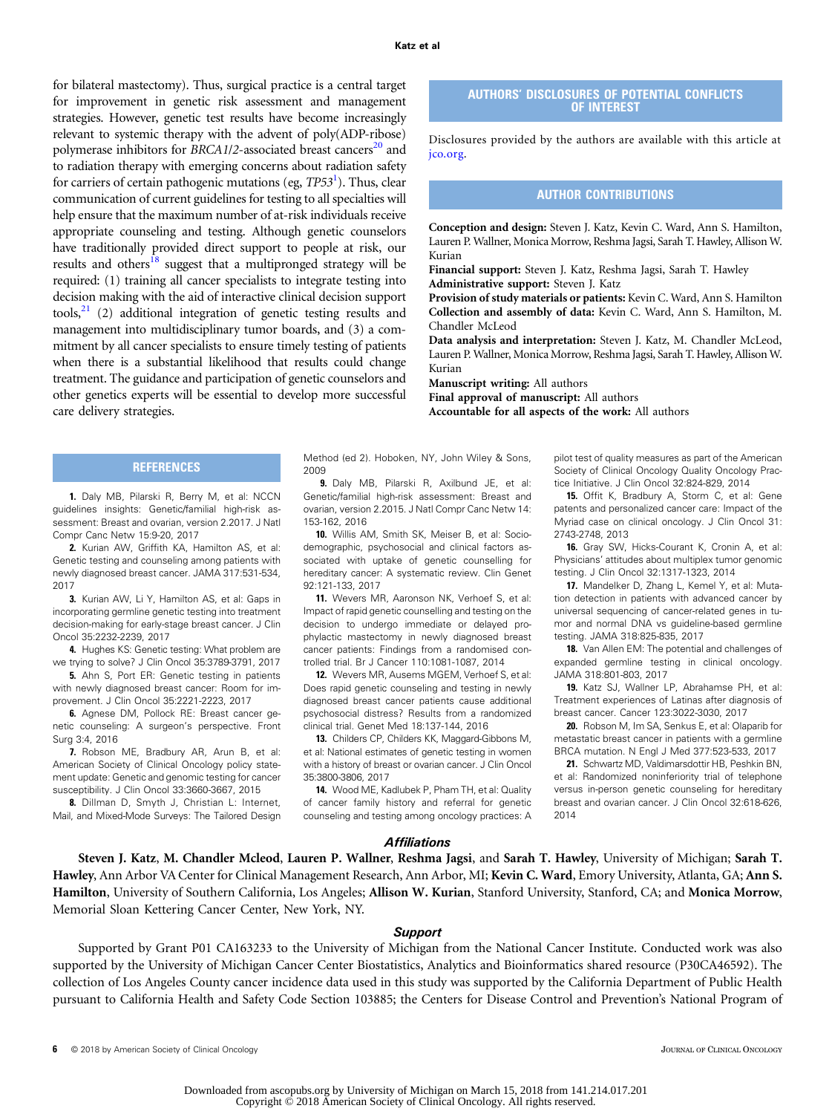<span id="page-5-0"></span>for bilateral mastectomy). Thus, surgical practice is a central target for improvement in genetic risk assessment and management strategies. However, genetic test results have become increasingly relevant to systemic therapy with the advent of poly(ADP-ribose) polymerase inhibitors for BRCA1/2-associated breast cancers<sup>20</sup> and to radiation therapy with emerging concerns about radiation safety for carriers of certain pathogenic mutations (eg,  $TP53<sup>1</sup>$ ). Thus, clear communication of current guidelines for testing to all specialties will help ensure that the maximum number of at-risk individuals receive appropriate counseling and testing. Although genetic counselors have traditionally provided direct support to people at risk, our results and others $18$  suggest that a multipronged strategy will be required: (1) training all cancer specialists to integrate testing into decision making with the aid of interactive clinical decision support  $tools<sub>21</sub>$  (2) additional integration of genetic testing results and management into multidisciplinary tumor boards, and (3) a commitment by all cancer specialists to ensure timely testing of patients when there is a substantial likelihood that results could change treatment. The guidance and participation of genetic counselors and other genetics experts will be essential to develop more successful care delivery strategies.

### **REFERENCES**

1. Daly MB, Pilarski R, Berry M, et al: NCCN guidelines insights: Genetic/familial high-risk assessment: Breast and ovarian, version 2.2017. J Natl Compr Canc Netw 15:9-20, 2017

2. Kurian AW, Griffith KA, Hamilton AS, et al: Genetic testing and counseling among patients with newly diagnosed breast cancer. JAMA 317:531-534, 2017

3. Kurian AW, Li Y, Hamilton AS, et al: Gaps in incorporating germline genetic testing into treatment decision-making for early-stage breast cancer. J Clin Oncol 35:2232-2239, 2017

4. Hughes KS: Genetic testing: What problem are we trying to solve? J Clin Oncol 35:3789-3791, 2017

5. Ahn S, Port ER: Genetic testing in patients with newly diagnosed breast cancer: Room for improvement. J Clin Oncol 35:2221-2223, 2017

6. Agnese DM, Pollock RE: Breast cancer genetic counseling: A surgeon's perspective. Front Surg 3:4, 2016

7. Robson ME, Bradbury AR, Arun B, et al: American Society of Clinical Oncology policy statement update: Genetic and genomic testing for cancer susceptibility. J Clin Oncol 33:3660-3667, 2015

8. Dillman D, Smyth J, Christian L; Internet, Mail, and Mixed-Mode Surveys: The Tailored Design

# Disclosures provided by the authors are available with this article at

[jco.org](http://jco.org).

AUTHORS' DISCLOSURES OF POTENTIAL CONFLICTS OF INTEREST

## AUTHOR CONTRIBUTIONS

Conception and design: Steven J. Katz, Kevin C. Ward, Ann S. Hamilton, Lauren P. Wallner, Monica Morrow, Reshma Jagsi, Sarah T. Hawley, Allison W. Kurian

Financial support: Steven J. Katz, Reshma Jagsi, Sarah T. Hawley Administrative support: Steven J. Katz

Provision of study materials or patients: Kevin C. Ward, Ann S. Hamilton Collection and assembly of data: Kevin C. Ward, Ann S. Hamilton, M. Chandler McLeod

Data analysis and interpretation: Steven J. Katz, M. Chandler McLeod, Lauren P. Wallner, Monica Morrow, Reshma Jagsi, Sarah T. Hawley, Allison W. Kurian

Manuscript writing: All authors

Final approval of manuscript: All authors Accountable for all aspects of the work: All authors

Method (ed 2). Hoboken, NY, John Wiley & Sons, 2009

9. Daly MB, Pilarski R, Axilbund JE, et al: Genetic/familial high-risk assessment: Breast and ovarian, version 2.2015. J Natl Compr Canc Netw 14: 153-162, 2016

10. Willis AM, Smith SK, Meiser B, et al: Sociodemographic, psychosocial and clinical factors associated with uptake of genetic counselling for hereditary cancer: A systematic review. Clin Genet 92:121-133, 2017

11. Wevers MR, Aaronson NK, Verhoef S, et al: Impact of rapid genetic counselling and testing on the decision to undergo immediate or delayed prophylactic mastectomy in newly diagnosed breast cancer patients: Findings from a randomised controlled trial. Br J Cancer 110:1081-1087, 2014

12. Wevers MR, Ausems MGEM, Verhoef S, et al: Does rapid genetic counseling and testing in newly diagnosed breast cancer patients cause additional psychosocial distress? Results from a randomized clinical trial. Genet Med 18:137-144, 2016

13. Childers CP, Childers KK, Maggard-Gibbons M, et al: National estimates of genetic testing in women with a history of breast or ovarian cancer. J Clin Oncol 35:3800-3806, 2017

14. Wood ME, Kadlubek P, Pham TH, et al: Quality of cancer family history and referral for genetic counseling and testing among oncology practices: A pilot test of quality measures as part of the American Society of Clinical Oncology Quality Oncology Practice Initiative. J Clin Oncol 32:824-829, 2014

15. Offit K, Bradbury A, Storm C, et al: Gene patents and personalized cancer care: Impact of the Myriad case on clinical oncology. J Clin Oncol 31: 2743-2748, 2013

16. Gray SW, Hicks-Courant K, Cronin A, et al: Physicians' attitudes about multiplex tumor genomic testing. J Clin Oncol 32:1317-1323, 2014

17. Mandelker D, Zhang L, Kemel Y, et al: Mutation detection in patients with advanced cancer by universal sequencing of cancer-related genes in tumor and normal DNA vs guideline-based germline testing. JAMA 318:825-835, 2017

18. Van Allen EM: The potential and challenges of expanded germline testing in clinical oncology. JAMA 318:801-803, 2017

19. Katz SJ, Wallner LP, Abrahamse PH, et al: Treatment experiences of Latinas after diagnosis of breast cancer. Cancer 123:3022-3030, 2017

20. Robson M, Im SA, Senkus E, et al: Olaparib for metastatic breast cancer in patients with a germline BRCA mutation. N Engl J Med 377:523-533, 2017

21. Schwartz MD, Valdimarsdottir HB, Peshkin BN, et al: Randomized noninferiority trial of telephone versus in-person genetic counseling for hereditary breast and ovarian cancer. J Clin Oncol 32:618-626, 2014

# **Affiliations**

Steven J. Katz, M. Chandler Mcleod, Lauren P. Wallner, Reshma Jagsi, and Sarah T. Hawley, University of Michigan; Sarah T. Hawley, Ann Arbor VA Center for Clinical Management Research, Ann Arbor, MI; Kevin C. Ward, Emory University, Atlanta, GA; Ann S. Hamilton, University of Southern California, Los Angeles; Allison W. Kurian, Stanford University, Stanford, CA; and Monica Morrow, Memorial Sloan Kettering Cancer Center, New York, NY.

# **Support**

Supported by Grant P01 CA163233 to the University of Michigan from the National Cancer Institute. Conducted work was also supported by the University of Michigan Cancer Center Biostatistics, Analytics and Bioinformatics shared resource (P30CA46592). The collection of Los Angeles County cancer incidence data used in this study was supported by the California Department of Public Health pursuant to California Health and Safety Code Section 103885; the Centers for Disease Control and Prevention's National Program of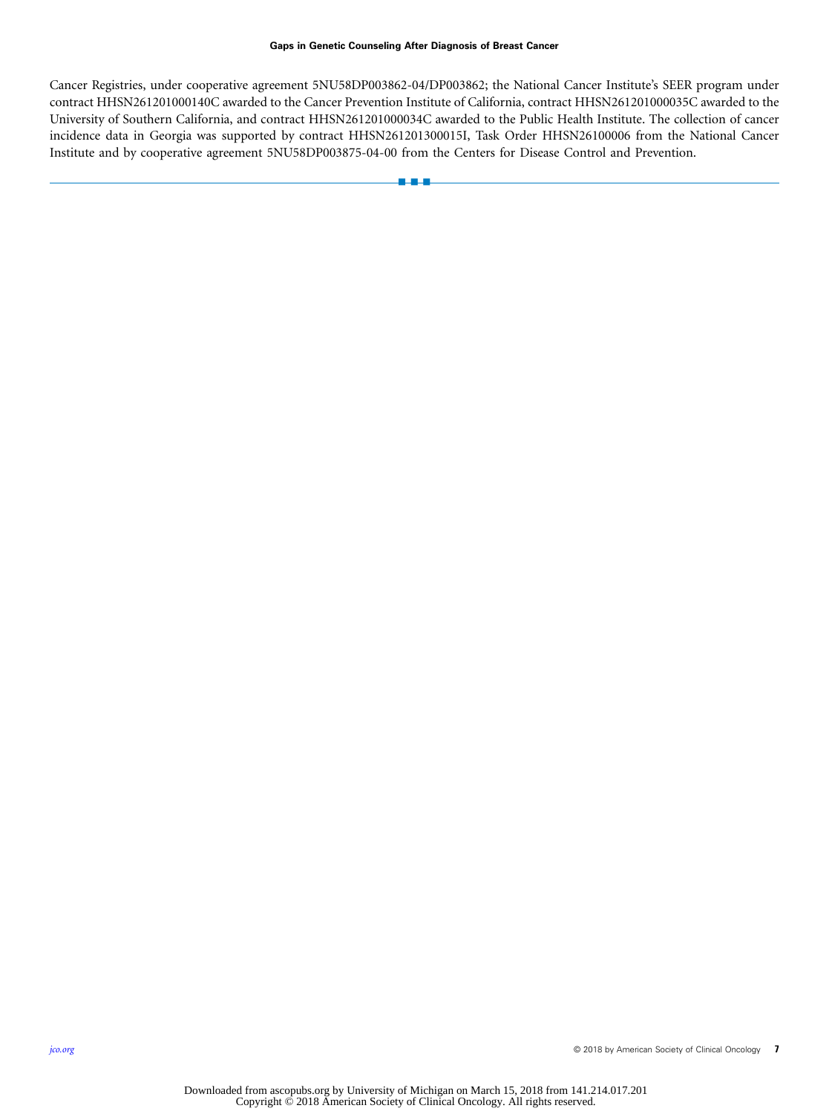Cancer Registries, under cooperative agreement 5NU58DP003862-04/DP003862; the National Cancer Institute's SEER program under contract HHSN261201000140C awarded to the Cancer Prevention Institute of California, contract HHSN261201000035C awarded to the University of Southern California, and contract HHSN261201000034C awarded to the Public Health Institute. The collection of cancer incidence data in Georgia was supported by contract HHSN261201300015I, Task Order HHSN26100006 from the National Cancer Institute and by cooperative agreement 5NU58DP003875-04-00 from the Centers for Disease Control and Prevention.

nnn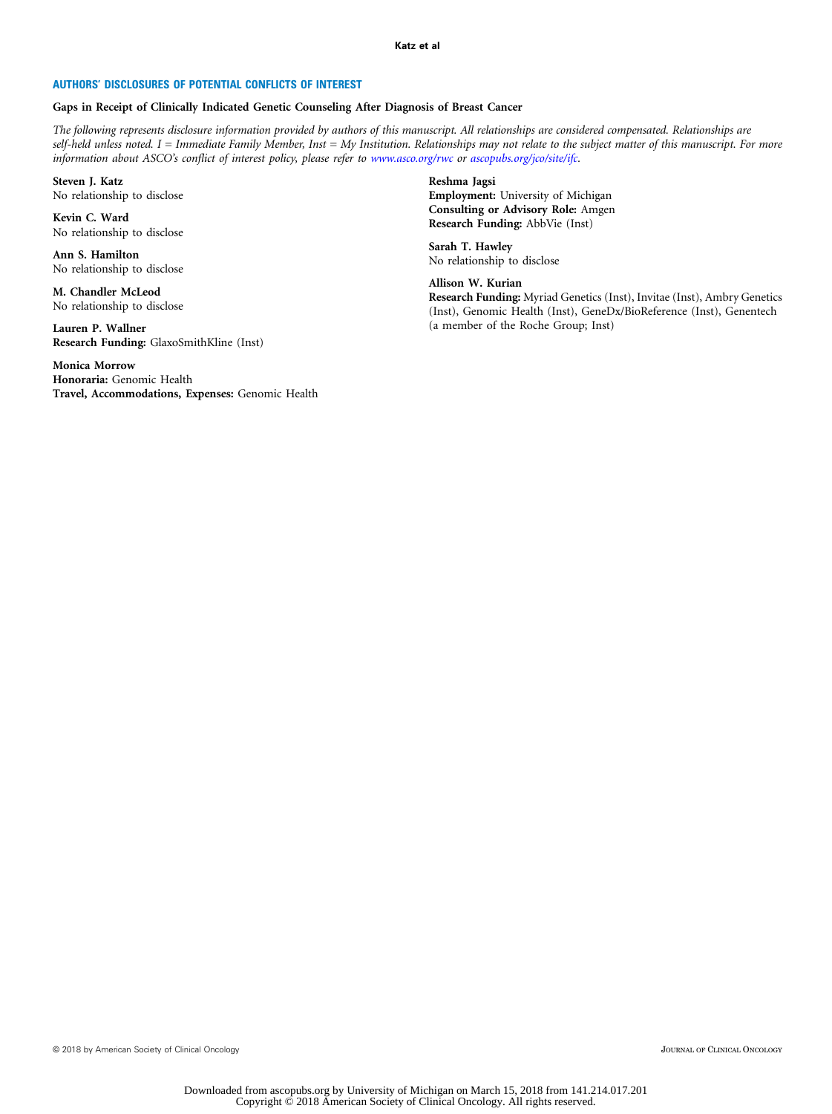### AUTHORS' DISCLOSURES OF POTENTIAL CONFLICTS OF INTEREST

## Gaps in Receipt of Clinically Indicated Genetic Counseling After Diagnosis of Breast Cancer

The following represents disclosure information provided by authors of this manuscript. All relationships are considered compensated. Relationships are self-held unless noted. I = Immediate Family Member, Inst = My Institution. Relationships may not relate to the subject matter of this manuscript. For more information about ASCO's conflict of interest policy, please refer to [www.asco.org/rwc](http://www.asco.org/rwc) or [ascopubs.org/jco/site/ifc](http://ascopubs.org/jco/site/ifc).

Steven J. Katz No relationship to disclose

Kevin C. Ward No relationship to disclose

Ann S. Hamilton No relationship to disclose

M. Chandler McLeod No relationship to disclose

Lauren P. Wallner Research Funding: GlaxoSmithKline (Inst)

Monica Morrow Honoraria: Genomic Health Travel, Accommodations, Expenses: Genomic Health Reshma Jagsi

Employment: University of Michigan Consulting or Advisory Role: Amgen Research Funding: AbbVie (Inst)

Sarah T. Hawley No relationship to disclose

# Allison W. Kurian

Research Funding: Myriad Genetics (Inst), Invitae (Inst), Ambry Genetics (Inst), Genomic Health (Inst), GeneDx/BioReference (Inst), Genentech (a member of the Roche Group; Inst)